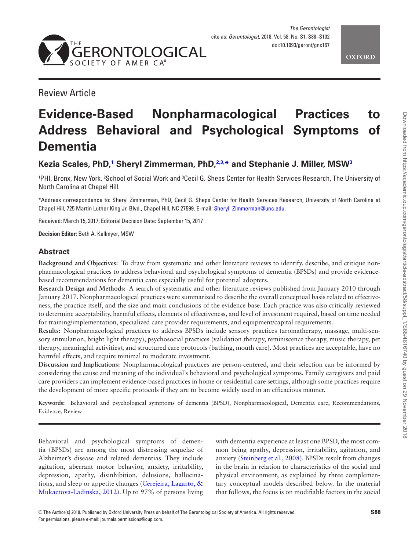

Review Article

# **Evidence-Based Nonpharmacological Practices to Address Behavioral and Psychological Symptoms of Dementia**

## **Kezia Scales, PhD,[1](#page-0-0) Sheryl Zimmerman, PhD[,2](#page-0-1)[,3](#page-0-2), [\\*](#page-0-3) and Stephanie J. Miller, MS[W3](#page-0-2)**

<span id="page-0-2"></span><span id="page-0-1"></span><span id="page-0-0"></span><sup>1</sup>PHI, Bronx, New York. <sup>2</sup>School of Social Work and <sup>3</sup>Cecil G. Sheps Center for Health Services Research, The University of North Carolina at Chapel Hill.

<span id="page-0-3"></span>\*Address correspondence to: Sheryl Zimmerman, PhD, Cecil G. Sheps Center for Health Services Research, University of North Carolina at Chapel Hill, 725 Martin Luther King Jr. Blvd., Chapel Hill, NC 27599. E-mail: [Sheryl\\_Zimmerman@unc.edu](mailto:Sheryl_Zimmerman@unc.edu?subject=).

Received: March 15, 2017; Editorial Decision Date: September 15, 2017

**Decision Editor:** Beth A. Kallmyer, MSW

### **Abstract**

**Background and Objectives:** To draw from systematic and other literature reviews to identify, describe, and critique nonpharmacological practices to address behavioral and psychological symptoms of dementia (BPSDs) and provide evidencebased recommendations for dementia care especially useful for potential adopters.

**Research Design and Methods:** A search of systematic and other literature reviews published from January 2010 through January 2017. Nonpharmacological practices were summarized to describe the overall conceptual basis related to effectiveness, the practice itself, and the size and main conclusions of the evidence base. Each practice was also critically reviewed to determine acceptability, harmful effects, elements of effectiveness, and level of investment required, based on time needed for training/implementation, specialized care provider requirements, and equipment/capital requirements.

**Results:** Nonpharmacological practices to address BPSDs include sensory practices (aromatherapy, massage, multi-sensory stimulation, bright light therapy), psychosocial practices (validation therapy, reminiscence therapy, music therapy, pet therapy, meaningful activities), and structured care protocols (bathing, mouth care). Most practices are acceptable, have no harmful effects, and require minimal to moderate investment.

**Discussion and Implications:** Nonpharmacological practices are person-centered, and their selection can be informed by considering the cause and meaning of the individual's behavioral and psychological symptoms. Family caregivers and paid care providers can implement evidence-based practices in home or residential care settings, although some practices require the development of more specific protocols if they are to become widely used in an efficacious manner.

**Keywords:** Behavioral and psychological symptoms of dementia (BPSD), Nonpharmacological, Dementia care, Recommendations, Evidence, Review

Behavioral and psychological symptoms of dementia (BPSDs) are among the most distressing sequelae of Alzheimer's disease and related dementias. They include agitation, aberrant motor behavior, anxiety, irritability, depression, apathy, disinhibition, delusions, hallucinations, and sleep or appetite changes [\(Cerejeira, Lagarto, &](#page-11-0)  [Mukaetova-Ladinska, 2012](#page-11-0)). Up to 97% of persons living with dementia experience at least one BPSD, the most common being apathy, depression, irritability, agitation, and anxiety ([Steinberg et al., 2008](#page-14-0)). BPSDs result from changes in the brain in relation to characteristics of the social and physical environment, as explained by three complementary conceptual models described below. In the material that follows, the focus is on modifiable factors in the social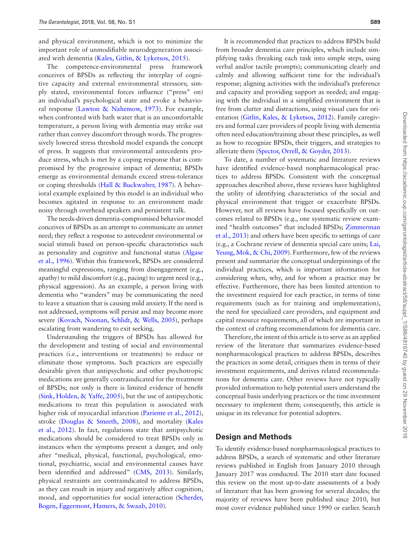and physical environment, which is not to minimize the important role of unmodifiable neurodegeneration associated with dementia ([Kales, Gitlin, & Lyketsos, 2015\)](#page-13-0).

The competence-environmental press framework conceives of BPSDs as reflecting the interplay of cognitive capacity and external environmental stressors; simply stated, environmental forces influence ("press" on) an individual's psychological state and evoke a behavioral response ([Lawton & Nahemow, 1973\)](#page-13-1). For example, when confronted with bath water that is an uncomfortable temperature, a person living with dementia may strike out rather than convey discomfort through words. The progressively lowered stress threshold model expands the concept of press. It suggests that environmental antecedents produce stress, which is met by a coping response that is compromised by the progressive impact of dementia; BPSDs emerge as environmental demands exceed stress-tolerance or coping thresholds ([Hall & Buckwalter, 1987\)](#page-12-0). A behavioral example explained by this model is an individual who becomes agitated in response to an environment made noisy through overhead speakers and persistent talk.

The needs-driven dementia-compromised behavior model conceives of BPSDs as an attempt to communicate an unmet need; they reflect a response to antecedent environmental or social stimuli based on person-specific characteristics such as personality and cognitive and functional status ([Algase](#page-11-1)  [et al., 1996\)](#page-11-1). Within this framework, BPSDs are considered meaningful expressions, ranging from disengagement (e.g., apathy) to mild discomfort (e.g., pacing) to urgent need (e.g., physical aggression). As an example, a person living with dementia who "wanders" may be communicating the need to leave a situation that is causing mild anxiety. If the need is not addressed, symptoms will persist and may become more severe ([Kovach, Noonan, Schlidt, & Wells, 2005](#page-13-2)), perhaps escalating from wandering to exit seeking.

Understanding the triggers of BPSDs has allowed for the development and testing of social and environmental practices (i.e., interventions or treatments) to reduce or eliminate those symptoms. Such practices are especially desirable given that antipsychotic and other psychotropic medications are generally contraindicated for the treatment of BPSDs; not only is there is limited evidence of benefit ([Sink, Holden, & Yaffe, 2005](#page-14-1)), but the use of antipsychotic medications to treat this population is associated with higher risk of myocardial infarction [\(Pariente et al., 2012](#page-13-3)), stroke ([Douglas & Smeeth, 2008](#page-12-1)), and mortality [\(Kales](#page-12-2)  [et al., 2012](#page-12-2)). In fact, regulations state that antipsychotic medications should be considered to treat BPSDs only in instances when the symptoms present a danger, and only after "medical, physical, functional, psychological, emotional, psychiatric, social and environmental causes have been identified and addressed" ([CMS, 2013](#page-11-2)). Similarly, physical restraints are contraindicated to address BPSDs, as they can result in injury and negatively affect cognition, mood, and opportunities for social interaction [\(Scherder,](#page-14-2)  [Bogen, Eggermont, Hamers, & Swaab, 2010\)](#page-14-2).

It is recommended that practices to address BPSDs build from broader dementia care principles, which include simplifying tasks (breaking each task into simple steps, using verbal and/or tactile prompts); communicating clearly and calmly and allowing sufficient time for the individual's response; aligning activities with the individual's preference and capacity and providing support as needed; and engaging with the individual in a simplified environment that is free from clutter and distractions, using visual cues for orientation [\(Gitlin, Kales, & Lyketsos, 2012](#page-12-2)). Family caregivers and formal care providers of people living with dementia often need education/training about these principles, as well as how to recognize BPSDs, their triggers, and strategies to alleviate them [\(Spector, Orrell, & Goyder, 2013\)](#page-14-3).

To date, a number of systematic and literature reviews have identified evidence-based nonpharmacological practices to address BPSDs. Consistent with the conceptual approaches described above, these reviews have highlighted the utility of identifying characteristics of the social and physical environment that trigger or exacerbate BPSDs. However, not all reviews have focused specifically on outcomes related to BPSDs (e.g., one systematic review examined "health outcomes" that included BPSDs; [Zimmerman](#page-14-4)  [et al., 2013\)](#page-14-4) and others have been specific to settings of care (e.g., a Cochrane review of dementia special care units; [Lai,](#page-13-4)  [Yeung, Mok, & Chi, 2009\)](#page-13-4). Furthermore, few of the reviews present and summarize the conceptual underpinnings of the individual practices, which is important information for considering when, why, and for whom a practice may be effective. Furthermore, there has been limited attention to the investment required for each practice, in terms of time requirements (such as for training and implementation), the need for specialized care providers, and equipment and capital resource requirements, all of which are important in the context of crafting recommendations for dementia care.

Therefore, the intent of this article is to serve as an applied review of the literature that summarizes evidence-based nonpharmacological practices to address BPSDs, describes the practices in some detail, critiques them in terms of their investment requirements, and derives related recommendations for dementia care. Other reviews have not typically provided information to help potential users understand the conceptual basis underlying practices or the time investment necessary to implement them; consequently, this article is unique in its relevance for potential adopters.

#### **Design and Methods**

To identify evidence-based nonpharmacological practices to address BPSDs, a search of systematic and other literature reviews published in English from January 2010 through January 2017 was conducted. The 2010 start date focused this review on the most up-to-date assessments of a body of literature that has been growing for several decades; the majority of reviews have been published since 2010, but most cover evidence published since 1990 or earlier. Search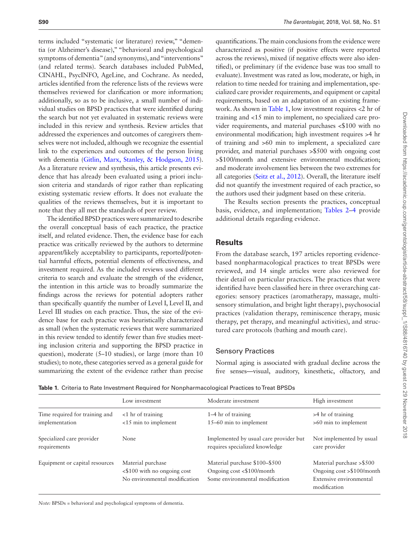terms included "systematic (or literature) review," "dementia (or Alzheimer's disease)," "behavioral and psychological symptoms of dementia" (and synonyms), and "interventions" (and related terms). Search databases included PubMed, CINAHL, PsycINFO, AgeLine, and Cochrane. As needed, articles identified from the reference lists of the reviews were themselves reviewed for clarification or more information; additionally, so as to be inclusive, a small number of individual studies on BPSD practices that were identified during the search but not yet evaluated in systematic reviews were included in this review and synthesis. Review articles that addressed the experiences and outcomes of caregivers themselves were not included, although we recognize the essential link to the experiences and outcomes of the person living with dementia ([Gitlin, Marx, Stanley, & Hodgson, 2015](#page-12-3)). As a literature review and synthesis, this article presents evidence that has already been evaluated using a priori inclusion criteria and standards of rigor rather than replicating existing systematic review efforts. It does not evaluate the qualities of the reviews themselves, but it is important to note that they all met the standards of peer review.

The identified BPSD practices were summarized to describe the overall conceptual basis of each practice, the practice itself, and related evidence. Then, the evidence base for each practice was critically reviewed by the authors to determine apparent/likely acceptability to participants, reported/potential harmful effects, potential elements of effectiveness, and investment required. As the included reviews used different criteria to search and evaluate the strength of the evidence, the intention in this article was to broadly summarize the findings across the reviews for potential adopters rather than specifically quantify the number of Level I, Level II, and Level III studies on each practice. Thus, the size of the evidence base for each practice was heuristically characterized as small (when the systematic reviews that were summarized in this review tended to identify fewer than five studies meeting inclusion criteria and supporting the BPSD practice in question), moderate (5–10 studies), or large (more than 10 studies); to note, these categories served as a general guide for summarizing the extent of the evidence rather than precise

quantifications. The main conclusions from the evidence were characterized as positive (if positive effects were reported across the reviews), mixed (if negative effects were also identified), or preliminary (if the evidence base was too small to evaluate). Investment was rated as low, moderate, or high, in relation to time needed for training and implementation, specialized care provider requirements, and equipment or capital requirements, based on an adaptation of an existing framework. As shown in [Table 1](#page-2-0), low investment requires <2 hr of training and <15 min to implement, no specialized care provider requirements, and material purchases <\$100 with no environmental modification; high investment requires >4 hr of training and >60 min to implement, a specialized care provider, and material purchases >\$500 with ongoing cost >\$100/month and extensive environmental modification; and moderate involvement lies between the two extremes for all categories [\(Seitz et al., 2012\)](#page-14-5). Overall, the literature itself did not quantify the investment required of each practice, so the authors used their judgment based on these criteria.

The Results section presents the practices, conceptual basis, evidence, and implementation; [Tables 2](#page-3-0)–[4](#page-5-0) provide additional details regarding evidence.

#### **Results**

From the database search, 197 articles reporting evidencebased nonpharmacological practices to treat BPSDs were reviewed, and 14 single articles were also reviewed for their detail on particular practices. The practices that were identified have been classified here in three overarching categories: sensory practices (aromatherapy, massage, multisensory stimulation, and bright light therapy), psychosocial practices (validation therapy, reminiscence therapy, music therapy, pet therapy, and meaningful activities), and structured care protocols (bathing and mouth care).

#### Sensory Practices

Normal aging is associated with gradual decline across the five senses—visual, auditory, kinesthetic, olfactory, and

|                                | Low investment                                                                          | Moderate investment                                                                           | High investment                                                                                    |
|--------------------------------|-----------------------------------------------------------------------------------------|-----------------------------------------------------------------------------------------------|----------------------------------------------------------------------------------------------------|
| Time required for training and | $<$ 1 hr of training                                                                    | 1–4 hr of training                                                                            | >4 hr of training                                                                                  |
| implementation                 | $<$ 15 min to implement                                                                 | 15-60 min to implement                                                                        | $>60$ min to implement                                                                             |
| Specialized care provider      | None                                                                                    | Implemented by usual care provider but                                                        | Not implemented by usual                                                                           |
| requirements                   |                                                                                         | requires specialized knowledge                                                                | care provider                                                                                      |
| Equipment or capital resources | Material purchase<br>$\leq$ \$100 with no ongoing cost<br>No environmental modification | Material purchase \$100-\$500<br>Ongoing cost <\$100/month<br>Some environmental modification | Material purchase > \$500<br>Ongoing cost > \$100/month<br>Extensive environmental<br>modification |

<span id="page-2-0"></span>**Table 1.** Criteria to Rate Investment Required for Nonpharmacological Practices to Treat BPSDs

*Note:* BPSDs = behavioral and psychological symptoms of dementia.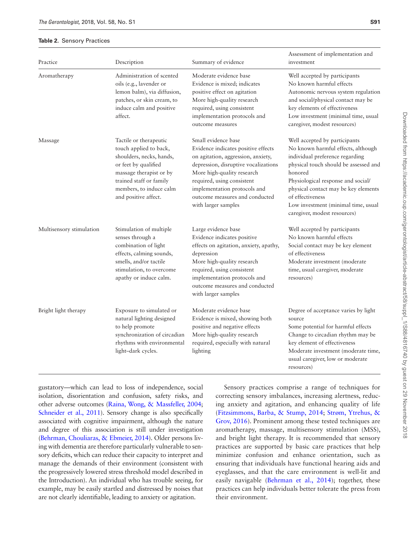#### <span id="page-3-0"></span>**Table 2.** Sensory Practices

| Practice                 | Description                                                                                                                                                                                                   | Summary of evidence                                                                                                                                                                                                                                                                           | Assessment of implementation and<br>investment                                                                                                                                                                                                                                                                                      |
|--------------------------|---------------------------------------------------------------------------------------------------------------------------------------------------------------------------------------------------------------|-----------------------------------------------------------------------------------------------------------------------------------------------------------------------------------------------------------------------------------------------------------------------------------------------|-------------------------------------------------------------------------------------------------------------------------------------------------------------------------------------------------------------------------------------------------------------------------------------------------------------------------------------|
| Aromatherapy             | Administration of scented<br>oils (e.g., lavender or<br>lemon balm), via diffusion,<br>patches, or skin cream, to<br>induce calm and positive<br>affect.                                                      | Moderate evidence base<br>Evidence is mixed; indicates<br>positive effect on agitation<br>More high-quality research<br>required, using consistent<br>implementation protocols and<br>outcome measures                                                                                        | Well accepted by participants<br>No known harmful effects<br>Autonomic nervous system regulation<br>and social/physical contact may be<br>key elements of effectiveness<br>Low investment (minimal time, usual<br>caregiver, modest resources)                                                                                      |
| Massage                  | Tactile or therapeutic<br>touch applied to back,<br>shoulders, necks, hands,<br>or feet by qualified<br>massage therapist or by<br>trained staff or family<br>members, to induce calm<br>and positive affect. | Small evidence base<br>Evidence indicates positive effects<br>on agitation, aggression, anxiety,<br>depression, disruptive vocalizations<br>More high-quality research<br>required, using consistent<br>implementation protocols and<br>outcome measures and conducted<br>with larger samples | Well accepted by participants<br>No known harmful effects, although<br>individual preference regarding<br>physical touch should be assessed and<br>honored<br>Physiological response and social/<br>physical contact may be key elements<br>of effectiveness<br>Low investment (minimal time, usual<br>caregiver, modest resources) |
| Multisensory stimulation | Stimulation of multiple<br>senses through a<br>combination of light<br>effects, calming sounds,<br>smells, and/or tactile<br>stimulation, to overcome<br>apathy or induce calm.                               | Large evidence base<br>Evidence indicates positive<br>effects on agitation, anxiety, apathy,<br>depression<br>More high-quality research<br>required, using consistent<br>implementation protocols and<br>outcome measures and conducted<br>with larger samples                               | Well accepted by participants<br>No known harmful effects<br>Social contact may be key element<br>of effectiveness<br>Moderate investment (moderate<br>time, usual caregiver, moderate<br>resources)                                                                                                                                |
| Bright light therapy     | Exposure to simulated or<br>natural lighting designed<br>to help promote<br>synchronization of circadian<br>rhythms with environmental<br>light-dark cycles.                                                  | Moderate evidence base<br>Evidence is mixed, showing both<br>positive and negative effects<br>More high-quality research<br>required, especially with natural<br>lighting                                                                                                                     | Degree of acceptance varies by light<br>source<br>Some potential for harmful effects<br>Change to circadian rhythm may be<br>key element of effectiveness<br>Moderate investment (moderate time,<br>usual caregiver, low or moderate<br>resources)                                                                                  |

gustatory—which can lead to loss of independence, social isolation, disorientation and confusion, safety risks, and other adverse outcomes ([Raina, Wong, & Massfeller, 2004](#page-14-6); [Schneider et al., 2011\)](#page-14-7). Sensory change is also specifically associated with cognitive impairment, although the nature and degree of this association is still under investigation ([Behrman, Chouliaras, & Ebmeier, 2014](#page-11-3)). Older persons living with dementia are therefore particularly vulnerable to sensory deficits, which can reduce their capacity to interpret and manage the demands of their environment (consistent with the progressively lowered stress threshold model described in the Introduction). An individual who has trouble seeing, for example, may be easily startled and distressed by noises that are not clearly identifiable, leading to anxiety or agitation.

Sensory practices comprise a range of techniques for correcting sensory imbalances, increasing alertness, reducing anxiety and agitation, and enhancing quality of life ([Fitzsimmons, Barba, & Stump, 2014](#page-12-4); [Strøm, Ytrehus, &](#page-14-8)  [Grov, 2016\)](#page-14-8). Prominent among these tested techniques are aromatherapy, massage, multisensory stimulation (MSS), and bright light therapy. It is recommended that sensory practices are supported by basic care practices that help minimize confusion and enhance orientation, such as ensuring that individuals have functional hearing aids and eyeglasses, and that the care environment is well-lit and easily navigable (Behrman et al., 2014); together, these practices can help individuals better tolerate the press from their environment.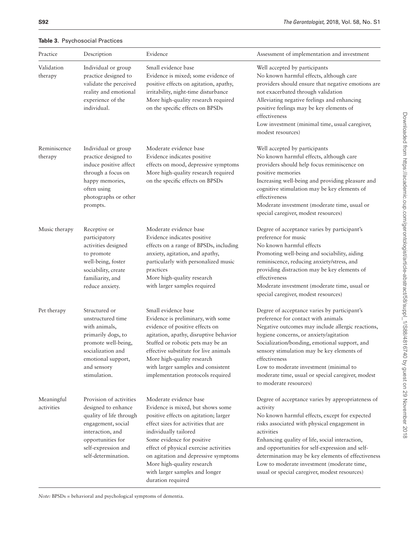| Practice                 | Description                                                                                                                                                                            | Evidence                                                                                                                                                                                                                                                                                                                                                                   | Assessment of implementation and investment                                                                                                                                                                                                                                                                                                                                                                                            |
|--------------------------|----------------------------------------------------------------------------------------------------------------------------------------------------------------------------------------|----------------------------------------------------------------------------------------------------------------------------------------------------------------------------------------------------------------------------------------------------------------------------------------------------------------------------------------------------------------------------|----------------------------------------------------------------------------------------------------------------------------------------------------------------------------------------------------------------------------------------------------------------------------------------------------------------------------------------------------------------------------------------------------------------------------------------|
| Validation<br>therapy    | Individual or group<br>practice designed to<br>validate the perceived<br>reality and emotional<br>experience of the<br>individual.                                                     | Small evidence base<br>Evidence is mixed; some evidence of<br>positive effects on agitation, apathy,<br>irritability, night-time disturbance<br>More high-quality research required<br>on the specific effects on BPSDs                                                                                                                                                    | Well accepted by participants<br>No known harmful effects, although care<br>providers should ensure that negative emotions are<br>not exacerbated through validation<br>Alleviating negative feelings and enhancing<br>positive feelings may be key elements of<br>effectiveness<br>Low investment (minimal time, usual caregiver,<br>modest resources)                                                                                |
| Reminiscence<br>therapy  | Individual or group<br>practice designed to<br>induce positive affect<br>through a focus on<br>happy memories,<br>often using<br>photographs or other<br>prompts.                      | Moderate evidence base<br>Evidence indicates positive<br>effects on mood, depressive symptoms<br>More high-quality research required<br>on the specific effects on BPSDs                                                                                                                                                                                                   | Well accepted by participants<br>No known harmful effects, although care<br>providers should help focus reminiscence on<br>positive memories<br>Increasing well-being and providing pleasure and<br>cognitive stimulation may be key elements of<br>effectiveness<br>Moderate investment (moderate time, usual or<br>special caregiver, modest resources)                                                                              |
| Music therapy            | Receptive or<br>participatory<br>activities designed<br>to promote<br>well-being, foster<br>sociability, create<br>familiarity, and<br>reduce anxiety.                                 | Moderate evidence base<br>Evidence indicates positive<br>effects on a range of BPSDs, including<br>anxiety, agitation, and apathy,<br>particularly with personalized music<br>practices<br>More high-quality research<br>with larger samples required                                                                                                                      | Degree of acceptance varies by participant's<br>preference for music<br>No known harmful effects<br>Promoting well-being and sociability, aiding<br>reminiscence, reducing anxiety/stress, and<br>providing distraction may be key elements of<br>effectiveness<br>Moderate investment (moderate time, usual or<br>special caregiver, modest resources)                                                                                |
| Pet therapy              | Structured or<br>unstructured time<br>with animals,<br>primarily dogs, to<br>promote well-being,<br>socialization and<br>emotional support,<br>and sensory<br>stimulation.             | Small evidence base<br>Evidence is preliminary, with some<br>evidence of positive effects on<br>agitation, apathy, disruptive behavior<br>Stuffed or robotic pets may be an<br>effective substitute for live animals<br>More high-quality research<br>with larger samples and consistent<br>implementation protocols required                                              | Degree of acceptance varies by participant's<br>preference for contact with animals<br>Negative outcomes may include allergic reactions,<br>hygiene concerns, or anxiety/agitation<br>Socialization/bonding, emotional support, and<br>sensory stimulation may be key elements of<br>effectiveness<br>Low to moderate investment (minimal to<br>moderate time, usual or special caregiver, modest<br>to moderate resources)            |
| Meaningful<br>activities | Provision of activities<br>designed to enhance<br>quality of life through<br>engagement, social<br>interaction, and<br>opportunities for<br>self-expression and<br>self-determination. | Moderate evidence base<br>Evidence is mixed, but shows some<br>positive effects on agitation; larger<br>effect sizes for activities that are<br>individually tailored<br>Some evidence for positive<br>effect of physical exercise activities<br>on agitation and depressive symptoms<br>More high-quality research<br>with larger samples and longer<br>duration required | Degree of acceptance varies by appropriateness of<br>activity<br>No known harmful effects, except for expected<br>risks associated with physical engagement in<br>activities<br>Enhancing quality of life, social interaction,<br>and opportunities for self-expression and self-<br>determination may be key elements of effectiveness<br>Low to moderate investment (moderate time,<br>usual or special caregiver, modest resources) |

**Table 3.** Psychosocial Practices

*Note:* BPSDs = behavioral and psychological symptoms of dementia.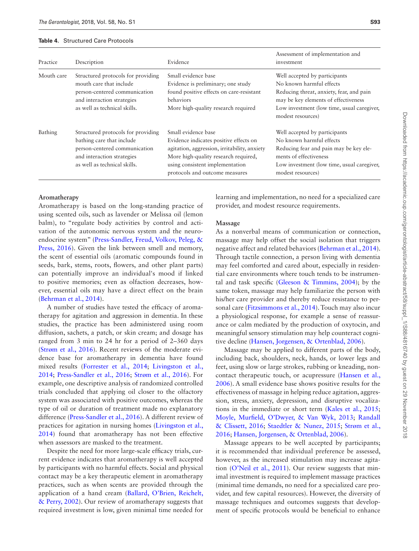#### <span id="page-5-0"></span>**Table 4.** Structured Care Protocols

| Practice   | Description                                                                                                                                                    | Evidence                                                                                                                                                                                                                   | Assessment of implementation and<br>investment                                                                                                                                                                   |
|------------|----------------------------------------------------------------------------------------------------------------------------------------------------------------|----------------------------------------------------------------------------------------------------------------------------------------------------------------------------------------------------------------------------|------------------------------------------------------------------------------------------------------------------------------------------------------------------------------------------------------------------|
| Mouth care | Structured protocols for providing<br>mouth care that include<br>person-centered communication<br>and interaction strategies<br>as well as technical skills.   | Small evidence base<br>Evidence is preliminary; one study<br>found positive effects on care-resistant<br>behaviors<br>More high-quality research required                                                                  | Well accepted by participants<br>No known harmful effects<br>Reducing threat, anxiety, fear, and pain<br>may be key elements of effectiveness<br>Low investment (low time, usual caregiver,<br>modest resources) |
| Bathing    | Structured protocols for providing<br>bathing care that include<br>person-centered communication<br>and interaction strategies<br>as well as technical skills. | Small evidence base<br>Evidence indicates positive effects on<br>agitation, aggression, irritability, anxiety<br>More high-quality research required,<br>using consistent implementation<br>protocols and outcome measures | Well accepted by participants<br>No known harmful effects<br>Reducing fear and pain may be key ele-<br>ments of effectiveness<br>Low investment (low time, usual caregiver,<br>modest resources)                 |

### **Aromatherapy**

Aromatherapy is based on the long-standing practice of using scented oils, such as lavender or Melissa oil (lemon balm), to "regulate body activities by control and activation of the autonomic nervous system and the neuroendocrine system" ([Press-Sandler, Freud, Volkov, Peleg, &](#page-14-9)  [Press, 2016\)](#page-14-9). Given the link between smell and memory, the scent of essential oils (aromatic compounds found in seeds, bark, stems, roots, flowers, and other plant parts) can potentially improve an individual's mood if linked to positive memories; even as olfaction decreases, however, essential oils may have a direct effect on the brain ([Behrman et al., 2014](#page-11-3)).

A number of studies have tested the efficacy of aromatherapy for agitation and aggression in dementia. In these studies, the practice has been administered using room diffusion, sachets, a patch, or skin cream; and dosage has ranged from 3 min to 24 hr for a period of 2–360 days ([Strøm et al., 2016](#page-14-8)). Recent reviews of the moderate evidence base for aromatherapy in dementia have found mixed results [\(Forrester et al., 2014](#page-12-5); [Livingston et al.,](#page-13-5)  [2014](#page-13-5); [Press-Sandler et al., 2016;](#page-14-9) [Strøm et al., 2016\)](#page-14-8). For example, one descriptive analysis of randomized controlled trials concluded that applying oil closer to the olfactory system was associated with positive outcomes, whereas the type of oil or duration of treatment made no explanatory difference [\(Press-Sandler et al., 2016](#page-14-9)). A different review of practices for agitation in nursing homes [\(Livingston et al.,](#page-13-5)  [2014](#page-13-5)) found that aromatherapy has not been effective when assessors are masked to the treatment.

Despite the need for more large-scale efficacy trials, current evidence indicates that aromatherapy is well accepted by participants with no harmful effects. Social and physical contact may be a key therapeutic element in aromatherapy practices, such as when scents are provided through the application of a hand cream ([Ballard, O'Brien, Reichelt,](#page-11-4)  [& Perry, 2002\)](#page-11-4). Our review of aromatherapy suggests that required investment is low, given minimal time needed for learning and implementation, no need for a specialized care provider, and modest resource requirements.

#### **Massage**

As a nonverbal means of communication or connection, massage may help offset the social isolation that triggers negative affect and related behaviors [\(Behrman et al., 2014](#page-11-3)). Through tactile connection, a person living with dementia may feel comforted and cared about, especially in residential care environments where touch tends to be instrumental and task specific ([Gleeson & Timmins, 2004](#page-12-6)); by the same token, massage may help familiarize the person with his/her care provider and thereby reduce resistance to personal care ([Fitzsimmons et al., 2014\)](#page-12-4). Touch may also incur a physiological response, for example a sense of reassurance or calm mediated by the production of oxytocin, and meaningful sensory stimulation may help counteract cognitive decline ([Hansen, Jorgensen, & Ortenblad, 2006\)](#page-12-7).

Massage may be applied to different parts of the body, including back, shoulders, neck, hands, or lower legs and feet, using slow or large strokes, rubbing or kneading, noncontact therapeutic touch, or acupressure [\(Hansen et al.,](#page-12-7)  [2006](#page-12-7)). A small evidence base shows positive results for the effectiveness of massage in helping reduce agitation, aggression, stress, anxiety, depression, and disruptive vocalizations in the immediate or short term [\(Kales et al., 2015](#page-13-0); [Moyle, Murfield, O'Dwyer, & Van Wyk, 2013](#page-13-6); [Randall](#page-14-10)  [& Clissett, 2016;](#page-14-10) [Staedtler & Nunez, 2015](#page-14-11); [Strøm et al.,](#page-14-8)  [2016](#page-14-8); [Hansen, Jorgensen, & Ortenblad, 2006](#page-12-7)).

Massage appears to be well accepted by participants; it is recommended that individual preference be assessed, however, as the increased stimulation may increase agitation [\(O'Neil et al., 2011](#page-13-7)). Our review suggests that minimal investment is required to implement massage practices (minimal time demands, no need for a specialized care provider, and few capital resources). However, the diversity of massage techniques and outcomes suggests that development of specific protocols would be beneficial to enhance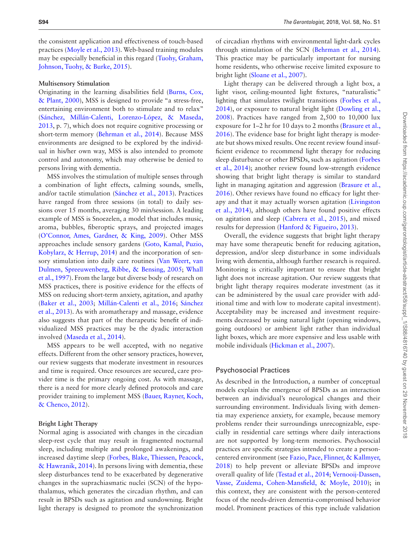the consistent application and effectiveness of touch-based practices [\(Moyle et al., 2013\)](#page-13-6). Web-based training modules may be especially beneficial in this regard [\(Tuohy, Graham,](#page-14-12)  [Johnson, Tuohy, & Burke, 2015\)](#page-14-12).

#### **Multisensory Stimulation**

Originating in the learning disabilities field ([Burns, Cox,](#page-11-5)  [& Plant, 2000\)](#page-11-5), MSS is designed to provide "a stress-free, entertaining environment both to stimulate and to relax" ([Sánchez, Millán-Calenti, Lorenzo-López, & Maseda,](#page-14-13)  [2013](#page-14-13), p. 7), which does not require cognitive processing or short-term memory ([Behrman et al., 2014](#page-11-3)). Because MSS environments are designed to be explored by the individual in his/her own way, MSS is also intended to promote control and autonomy, which may otherwise be denied to persons living with dementia.

MSS involves the stimulation of multiple senses through a combination of light effects, calming sounds, smells, and/or tactile stimulation [\(Sánchez et al., 2013](#page-14-13)). Practices have ranged from three sessions (in total) to daily sessions over 15 months, averaging 30 min/session. A leading example of MSS is Snoezelen, a model that includes music, aroma, bubbles, fiberoptic sprays, and projected images ([O'Connor, Ames, Gardner, & King, 2009](#page-13-8)). Other MSS approaches include sensory gardens [\(Goto, Kamal, Puzio,](#page-12-8)  [Kobylarz, & Herrup, 2014\)](#page-12-8) and the incorporation of sensory stimulation into daily care routines ([Van Weert, van](#page-14-14)  [Dulmen, Spreeuwenberg, Ribbe, & Bensing, 2005;](#page-14-14) [Whall](#page-14-15)  [et al., 1997\)](#page-14-15). From the large but diverse body of research on MSS practices, there is positive evidence for the effects of MSS on reducing short-term anxiety, agitation, and apathy ([Baker et al., 2003;](#page-11-6) [Millán-Calenti et al., 2016](#page-13-9); [Sánchez](#page-14-13)  [et al., 2013\)](#page-14-13). As with aromatherapy and massage, evidence also suggests that part of the therapeutic benefit of individualized MSS practices may be the dyadic interaction involved [\(Maseda et al., 2014](#page-13-10)).

MSS appears to be well accepted, with no negative effects. Different from the other sensory practices, however, our review suggests that moderate investment in resources and time is required. Once resources are secured, care provider time is the primary ongoing cost. As with massage, there is a need for more clearly defined protocols and care provider training to implement MSS ([Bauer, Rayner, Koch,](#page-11-7)  [& Chenco, 2012\)](#page-11-7).

#### **Bright Light Therapy**

Normal aging is associated with changes in the circadian sleep-rest cycle that may result in fragmented nocturnal sleep, including multiple and prolonged awakenings, and increased daytime sleep [\(Forbes, Blake, Thiessen, Peacock,](#page-12-9)  [& Hawranik, 2014\)](#page-12-9). In persons living with dementia, these sleep disturbances tend to be exacerbated by degenerative changes in the suprachiasmatic nuclei (SCN) of the hypothalamus, which generates the circadian rhythm, and can result in BPSDs such as agitation and sundowning. Bright light therapy is designed to promote the synchronization

of circadian rhythms with environmental light-dark cycles through stimulation of the SCN [\(Behrman et al., 2014](#page-11-3)). This practice may be particularly important for nursing home residents, who otherwise receive limited exposure to bright light [\(Sloane et al., 2007\)](#page-14-16).

Light therapy can be delivered through a light box, a light visor, ceiling-mounted light fixtures, "naturalistic" lighting that simulates twilight transitions (Forbes et al., [2014](#page-12-9)), or exposure to natural bright light ([Dowling et al.,](#page-12-10)  [2008](#page-12-10)). Practices have ranged from 2,500 to 10,000 lux exposure for 1–2 hr for 10 days to 2 months ([Brasure et al.,](#page-11-8)  [2016](#page-11-8)). The evidence base for bright light therapy is moderate but shows mixed results. One recent review found insufficient evidence to recommend light therapy for reducing sleep disturbance or other BPSDs, such as agitation ([Forbes](#page-12-9)  [et al., 2014](#page-12-9)); another review found low-strength evidence showing that bright light therapy is similar to standard light in managing agitation and aggression ([Brasure et al.,](#page-11-8)  [2016](#page-11-8)). Other reviews have found no efficacy for light therapy and that it may actually worsen agitation [\(Livingston](#page-13-5)  [et al., 2014](#page-13-5)), although others have found positive effects on agitation and sleep ([Cabrera et al., 2015](#page-11-9)), and mixed results for depression [\(Hanford & Figueiro, 2013\)](#page-12-11).

Overall, the evidence suggests that bright light therapy may have some therapeutic benefit for reducing agitation, depression, and/or sleep disturbance in some individuals living with dementia, although further research is required. Monitoring is critically important to ensure that bright light does not increase agitation. Our review suggests that bright light therapy requires moderate investment (as it can be administered by the usual care provider with additional time and with low to moderate capital investment). Acceptability may be increased and investment requirements decreased by using natural light (opening windows, going outdoors) or ambient light rather than individual light boxes, which are more expensive and less usable with mobile individuals ([Hickman et al., 2007](#page-12-12)).

#### Psychosocial Practices

As described in the Introduction, a number of conceptual models explain the emergence of BPSDs as an interaction between an individual's neurological changes and their surrounding environment. Individuals living with dementia may experience anxiety, for example, because memory problems render their surroundings unrecognizable, especially in residential care settings where daily interactions are not supported by long-term memories. Psychosocial practices are specific strategies intended to create a personcentered environment (see [Fazio, Pace, Flinner, & Kallmyer,](#page-12-13)  [2018](#page-12-13)) to help prevent or alleviate BPSDs and improve overall quality of life [\(Testad et al., 2014](#page-14-17); [Vernooij-Dassen,](#page-14-18)  [Vasse, Zuidema, Cohen-Mansfield, & Moyle, 2010](#page-14-18)); in this context, they are consistent with the person-centered focus of the needs-driven dementia-compromised behavior model. Prominent practices of this type include validation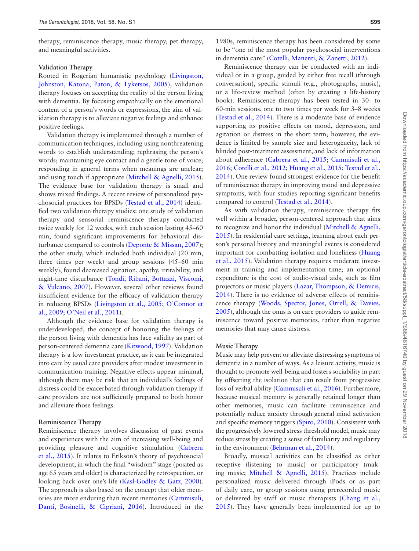therapy, reminiscence therapy, music therapy, pet therapy, and meaningful activities.

#### **Validation Therapy**

Rooted in Rogerian humanistic psychology [\(Livingston,](#page-13-11)  [Johnston, Katona, Paton, & Lyketsos, 2005\)](#page-13-11), validation therapy focuses on accepting the reality of the person living with dementia. By focusing empathically on the emotional content of a person's words or expressions, the aim of validation therapy is to alleviate negative feelings and enhance positive feelings.

Validation therapy is implemented through a number of communication techniques, including using nonthreatening words to establish understanding; rephrasing the person's words; maintaining eye contact and a gentle tone of voice; responding in general terms when meanings are unclear; and using touch if appropriate [\(Mitchell & Agnelli, 2015](#page-13-12)). The evidence base for validation therapy is small and shows mixed findings. A recent review of personalized psychosocial practices for BPSDs ([Testad et al., 2014\)](#page-14-17) identified two validation therapy studies: one study of validation therapy and sensorial reminiscence therapy conducted twice weekly for 12 weeks, with each session lasting 45–60 min, found significant improvements for behavioral disturbance compared to controls ([Deponte & Missan, 2007](#page-12-14)); the other study, which included both individual (20 min, three times per week) and group sessions (45–60 min weekly), found decreased agitation, apathy, irritability, and night-time disturbance [\(Tondi, Ribani, Bottazzi, Viscomi,](#page-14-19)  [& Vulcano, 2007\)](#page-14-19). However, several other reviews found insufficient evidence for the efficacy of validation therapy in reducing BPSDs [\(Livingston et al., 2005](#page-13-11); [O'Connor et](#page-13-8)  [al., 2009;](#page-13-8) [O'Neil et al., 2011\)](#page-13-7).

Although the evidence base for validation therapy is underdeveloped, the concept of honoring the feelings of the person living with dementia has face validity as part of person-centered dementia care [\(Kitwood, 1997](#page-13-13)). Validation therapy is a low investment practice, as it can be integrated into care by usual care providers after modest investment in communication training. Negative effects appear minimal, although there may be risk that an individual's feelings of distress could be exacerbated through validation therapy if care providers are not sufficiently prepared to both honor and alleviate those feelings.

#### **Reminiscence Therapy**

Reminiscence therapy involves discussion of past events and experiences with the aim of increasing well-being and providing pleasure and cognitive stimulation [\(Cabrera](#page-11-9)  [et al., 2015\)](#page-11-9). It relates to Erikson's theory of psychosocial development, in which the final "wisdom" stage (posited as age 65 years and older) is characterized by retrospection, or looking back over one's life [\(Kasl-Godley & Gatz, 2000](#page-13-14)). The approach is also based on the concept that older memories are more enduring than recent memories [\(Cammisuli,](#page-11-10)  [Danti, Bosinelli, & Cipriani, 2016\)](#page-11-10). Introduced in the

1980s, reminiscence therapy has been considered by some to be "one of the most popular psychosocial interventions in dementia care" ([Cotelli, Manenti, & Zanetti, 2012\)](#page-12-15).

Reminiscence therapy can be conducted with an individual or in a group, guided by either free recall (through conversation), specific stimuli (e.g., photographs, music), or a life-review method (often by creating a life-history book). Reminiscence therapy has been tested in 30- to 60-min sessions, one to two times per week for 3–8 weeks ([Testad et al., 2014](#page-14-17)). There is a moderate base of evidence supporting its positive effects on mood, depression, and agitation or distress in the short term; however, the evidence is limited by sample size and heterogeneity, lack of blinded post-treatment assessment, and lack of information about adherence ([Cabrera et al., 2015](#page-11-9); [Cammisuli et al.,](#page-11-10)  [2016](#page-11-10); [Cotelli et al., 2012](#page-12-15); [Huang et al., 2015;](#page-12-16) [Testad et al.,](#page-14-17)  [2014](#page-14-17)). One review found strongest evidence for the benefit of reminiscence therapy in improving mood and depressive symptoms, with four studies reporting significant benefits compared to control [\(Testad et al., 2014](#page-14-17)).

As with validation therapy, reminiscence therapy fits well within a broader, person-centered approach that aims to recognize and honor the individual [\(Mitchell & Agnelli,](#page-13-12)  [2015](#page-13-12)). In residential care settings, learning about each person's personal history and meaningful events is considered important for combatting isolation and loneliness [\(Huang](#page-12-16)  [et al., 2015\)](#page-12-16). Validation therapy requires moderate investment in training and implementation time; an optional expenditure is the cost of audio-visual aids, such as film projectors or music players [\(Lazar, Thompson, & Demiris,](#page-13-15)  [2014](#page-13-15)). There is no evidence of adverse effects of reminiscence therapy [\(Woods, Spector, Jones, Orrell, & Davies,](#page-14-20)  [2005](#page-14-20)), although the onus is on care providers to guide reminiscence toward positive memories, rather than negative memories that may cause distress.

#### **Music Therapy**

Music may help prevent or alleviate distressing symptoms of dementia in a number of ways. As a leisure activity, music is thought to promote well-being and fosters sociability in part by offsetting the isolation that can result from progressive loss of verbal ability ([Cammisuli et al., 2016\)](#page-11-10). Furthermore, because musical memory is generally retained longer than other memories, music can facilitate reminiscence and potentially reduce anxiety through general mind activation and specific memory triggers ([Spiro, 2010\)](#page-14-21). Consistent with the progressively lowered stress threshold model, music may reduce stress by creating a sense of familiarity and regularity in the environment ([Behrman et al., 2014](#page-11-3)).

Broadly, musical activities can be classified as either receptive (listening to music) or participatory (making music; [Mitchell & Agnelli, 2015\)](#page-13-12). Practices include personalized music delivered through iPods or as part of daily care, or group sessions using prerecorded music or delivered by staff or music therapists ([Chang et al.,](#page-11-11)  [2015](#page-11-11)). They have generally been implemented for up to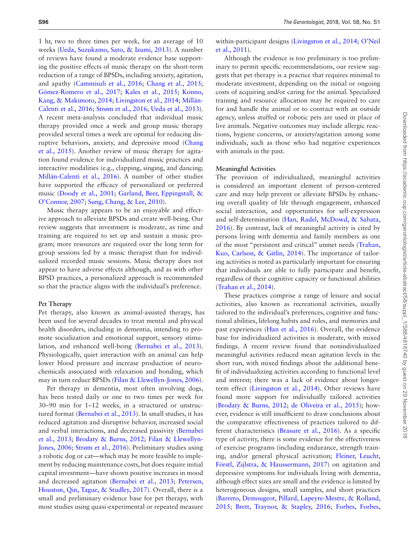1 hr, two to three times per week, for an average of 10 weeks ([Ueda, Suzukamo, Sato, & Izumi, 2013](#page-14-22)). A number of reviews have found a moderate evidence base supporting the positive effects of music therapy on the short-term reduction of a range of BPSDs, including anxiety, agitation, and apathy ([Cammisuli et al., 2016](#page-11-10); [Chang et al., 2015](#page-11-11); [Gómez-Romero et al., 2017](#page-12-17); [Kales et al., 2015](#page-13-0); [Konno,](#page-13-16)  [Kang, & Makimoto, 2014](#page-13-16); [Livingston et al., 2014;](#page-13-5) [Millán-](#page-13-9)[Calenti et al., 2016;](#page-13-9) [Strøm et al., 2016](#page-14-8); [Ueda et al., 2013](#page-14-22)). A recent meta-analysis concluded that individual music therapy provided once a week and group music therapy provided several times a week are optimal for reducing disruptive behaviors, anxiety, and depressive mood [\(Chang](#page-11-11)  [et al., 2015\)](#page-11-11). Another review of music therapy for agitation found evidence for individualized music practices and interactive modalities (e.g., clapping, singing, and dancing; [Millán-Calenti et al., 2016\)](#page-13-9). A number of other studies have supported the efficacy of personalized or preferred music [\(Doody et al., 2001](#page-12-18); [Garland, Beer, Eppingstall, &](#page-12-19)  [O'Connor, 2007](#page-12-19); [Sung, Chang, & Lee, 2010](#page-14-23)).

Music therapy appears to be an enjoyable and effective approach to alleviate BPSDs and create well-being. Our review suggests that investment is moderate, as time and training are required to set up and sustain a music program; more resources are required over the long term for group sessions led by a music therapist than for individualized recorded music sessions. Music therapy does not appear to have adverse effects although, and as with other BPSD practices, a personalized approach is recommended so that the practice aligns with the individual's preference.

#### **Pet Therapy**

Pet therapy, also known as animal-assisted therapy, has been used for several decades to treat mental and physical health disorders, including in dementia, intending to promote socialization and emotional support, sensory stimulation, and enhanced well-being ([Bernabei et al., 2013](#page-11-12)). Physiologically, quiet interaction with an animal can help lower blood pressure and increase production of neurochemicals associated with relaxation and bonding, which may in turn reduce BPSDs [\(Filan & Llewellyn-Jones, 2006](#page-12-20)).

Pet therapy in dementia, most often involving dogs, has been tested daily or one to two times per week for 30–90 min for 1–12 weeks, in a structured or unstructured format ([Bernabei et al., 2013](#page-11-12)). In small studies, it has reduced agitation and disruptive behavior, increased social and verbal interactions, and decreased passivity ([Bernabei](#page-11-12)  [et al., 2013;](#page-11-12) [Brodaty & Burns, 2012;](#page-11-13) [Filan & Llewellyn-](#page-12-20)[Jones, 2006;](#page-12-20) [Strøm et al., 2016](#page-14-8)). Preliminary studies using a robotic dog or cat—which may be more feasible to implement by reducing maintenance costs, but does require initial capital investment—have shown positive increases in mood and decreased agitation [\(Bernabei et al., 2013;](#page-11-12) [Petersen,](#page-13-17)  [Houston, Qin, Tague, & Studley, 2017](#page-13-17)). Overall, there is a small and preliminary evidence base for pet therapy, with most studies using quasi-experimental or repeated measure

within-participant designs ([Livingston et al., 2014;](#page-13-5) [O'Neil](#page-13-7)  [et al., 2011\)](#page-13-7).

Although the evidence is too preliminary is too preliminary to permit specific recommendations, our review suggests that pet therapy is a practice that requires minimal to moderate investment, depending on the initial or ongoing costs of acquiring and/or caring for the animal. Specialized training and resource allocation may be required to care for and handle the animal or to contract with an outside agency, unless stuffed or robotic pets are used in place of live animals. Negative outcomes may include allergic reactions, hygiene concerns, or anxiety/agitation among some individuals, such as those who had negative experiences with animals in the past.

#### **Meaningful Activities**

The provision of individualized, meaningful activities is considered an important element of person-centered care and may help prevent or alleviate BPSDs by enhancing overall quality of life through engagement, enhanced social interaction, and opportunities for self-expression and self-determination ([Han, Radel, McDowd, & Sabata,](#page-12-21)  [2016](#page-12-21)). By contrast, lack of meaningful activity is cited by persons living with dementia and family members as one of the most "persistent and critical" unmet needs ([Trahan,](#page-14-24)  [Kuo, Carlson, & Gitlin, 2014](#page-14-24)). The importance of tailoring activities is noted as particularly important for ensuring that individuals are able to fully participate and benefit, regardless of their cognitive capacity or functional abilities ([Trahan et al., 2014\)](#page-14-24).

These practices comprise a range of leisure and social activities, also known as recreational activities, usually tailored to the individual's preferences, cognitive and functional abilities, lifelong habits and roles, and memories and past experiences ([Han et al., 2016\)](#page-12-21). Overall, the evidence base for individualized activities is moderate, with mixed findings. A recent review found that nonindividualized meaningful activities reduced mean agitation levels in the short run, with mixed findings about the additional benefit of individualizing activities according to functional level and interest; there was a lack of evidence about longerterm effect ([Livingston et al., 2014](#page-13-5)). Other reviews have found more support for individually tailored activities ([Brodaty & Burns, 2012;](#page-11-13) [de Oliveira et al., 2015\)](#page-12-22); however, evidence is still insufficient to draw conclusions about the comparative effectiveness of practices tailored to different characteristics [\(Brasure et al., 2016\)](#page-11-8). As a specific type of activity, there is some evidence for the effectiveness of exercise programs (including endurance, strength training, and/or general physical activation; [Fleiner, Leucht,](#page-12-23)  [Förstl, Zijlstra, & Haussermann, 2017](#page-12-23)) on agitation and depressive symptoms for individuals living with dementia, although effect sizes are small and the evidence is limited by heterogeneous designs, small samples, and short practices ([Barreto, Demougeot, Pillard, Lapeyre-Mestre, & Rolland,](#page-11-14)  [2015](#page-11-14); [Brett, Traynor, & Stapley, 2016;](#page-11-15) [Forbes, Forbes,](#page-12-24)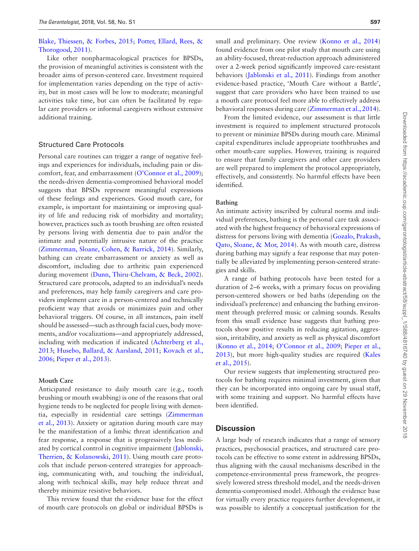### [Blake, Thiessen, & Forbes, 2015](#page-12-24); [Potter, Ellard, Rees, &](#page-13-18)  [Thorogood, 2011](#page-13-18)).

Like other nonpharmacological practices for BPSDs, the provision of meaningful activities is consistent with the broader aims of person-centered care. Investment required for implementation varies depending on the type of activity, but in most cases will be low to moderate; meaningful activities take time, but can often be facilitated by regular care providers or informal caregivers without extensive additional training.

#### Structured Care Protocols

Personal care routines can trigger a range of negative feelings and experiences for individuals, including pain or discomfort, fear, and embarrassment [\(O'Connor et al., 2009](#page-13-8)); the needs-driven dementia-compromised behavioral model suggests that BPSDs represent meaningful expressions of these feelings and experiences. Good mouth care, for example, is important for maintaining or improving quality of life and reducing risk of morbidity and mortality; however, practices such as tooth brushing are often resisted by persons living with dementia due to pain and/or the intimate and potentially intrusive nature of the practice ([Zimmerman, Sloane, Cohen, & Barrick, 2014](#page-14-25)). Similarly, bathing can create embarrassment or anxiety as well as discomfort, including due to arthritic pain experienced during movement ([Dunn, Thiru-Chelvam, & Beck, 2002](#page-12-25)). Structured care protocols, adapted to an individual's needs and preferences, may help family caregivers and care providers implement care in a person-centered and technically proficient way that avoids or minimizes pain and other behavioral triggers. Of course, in all instances, pain itself should be assessed—such as through facial cues, body movements, and/or vocalizations—and appropriately addressed, including with medication if indicated ([Achterberg et al.,](#page-11-16)  [2013](#page-11-16); [Husebo, Ballard, & Aarsland, 2011](#page-13-19); [Kovach et al.,](#page-13-20)  [2006](#page-13-20); [Pieper et al., 2013](#page-11-16)).

#### **Mouth Care**

Anticipated resistance to daily mouth care (e.g., tooth brushing or mouth swabbing) is one of the reasons that oral hygiene tends to be neglected for people living with dementia, especially in residential care settings ([Zimmerman](#page-14-4)  [et al., 2013\)](#page-14-4). Anxiety or agitation during mouth care may be the manifestation of a limbic threat identification and fear response, a response that is progressively less mediated by cortical control in cognitive impairment ([Jablonski,](#page-13-21)  [Therrien, & Kolanowski, 2011](#page-13-21)). Using mouth care protocols that include person-centered strategies for approaching, communicating with, and touching the individual, along with technical skills, may help reduce threat and thereby minimize resistive behaviors.

This review found that the evidence base for the effect of mouth care protocols on global or individual BPSDs is

small and preliminary. One review (Konno et al., 2014) found evidence from one pilot study that mouth care using an ability-focused, threat-reduction approach administered over a 2-week period significantly improved care-resistant behaviors ([Jablonski et al., 2011](#page-13-21)). Findings from another evidence-based practice, 'Mouth Care without a Battle', suggest that care providers who have been trained to use a mouth care protocol feel more able to effectively address behavioral responses during care [\(Zimmerman et al., 2014](#page-14-25)).

From the limited evidence, our assessment is that little investment is required to implement structured protocols to prevent or minimize BPSDs during mouth care. Minimal capital expenditures include appropriate toothbrushes and other mouth-care supplies. However, training is required to ensure that family caregivers and other care providers are well prepared to implement the protocol appropriately, effectively, and consistently. No harmful effects have been identified.

#### **Bathing**

An intimate activity inscribed by cultural norms and individual preferences, bathing is the personal care task associated with the highest frequency of behavioral expressions of distress for persons living with dementia [\(Gozalo, Prakash,](#page-12-26)  [Qato, Sloane, & Mor, 2014](#page-12-26)). As with mouth care, distress during bathing may signify a fear response that may potentially be alleviated by implementing person-centered strategies and skills.

A range of bathing protocols have been tested for a duration of 2–6 weeks, with a primary focus on providing person-centered showers or bed baths (depending on the individual's preference) and enhancing the bathing environment through preferred music or calming sounds. Results from this small evidence base suggests that bathing protocols show positive results in reducing agitation, aggression, irritability, and anxiety as well as physical discomfort ([Konno et al., 2014;](#page-13-16) [O'Connor et al., 2009](#page-13-8); [Pieper et al.,](#page-11-16)  [2013](#page-11-16)), but more high-quality studies are required [\(Kales](#page-13-0)  [et al., 2015\)](#page-13-0).

Our review suggests that implementing structured protocols for bathing requires minimal investment, given that they can be incorporated into ongoing care by usual staff, with some training and support. No harmful effects have been identified.

### **Discussion**

A large body of research indicates that a range of sensory practices, psychosocial practices, and structured care protocols can be effective to some extent in addressing BPSDs, thus aligning with the causal mechanisms described in the competence-environmental press framework, the progressively lowered stress threshold model, and the needs-driven dementia-compromised model. Although the evidence base for virtually every practice requires further development, it was possible to identify a conceptual justification for the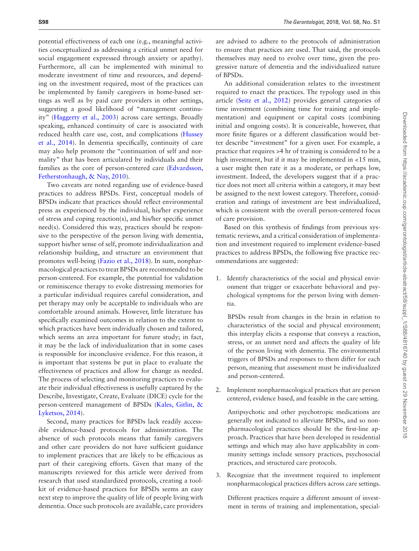potential effectiveness of each one (e.g., meaningful activities conceptualized as addressing a critical unmet need for social engagement expressed through anxiety or apathy). Furthermore, all can be implemented with minimal to moderate investment of time and resources, and depending on the investment required, most of the practices can be implemented by family caregivers in home-based settings as well as by paid care providers in other settings, suggesting a good likelihood of "management continuity" [\(Haggerty et al., 2003](#page-12-27)) across care settings. Broadly speaking, enhanced continuity of care is associated with reduced health care use, cost, and complications ([Hussey](#page-13-22)  [et al., 2014\)](#page-13-22). In dementia specifically, continuity of care may also help promote the "continuation of self and normality" that has been articulated by individuals and their families as the core of person-centered care [\(Edvardsson,](#page-12-28)  [Fetherstonhaugh, & Nay, 2010](#page-12-28)).

Two caveats are noted regarding use of evidence-based practices to address BPSDs. First, conceptual models of BPSDs indicate that practices should reflect environmental press as experienced by the individual, his/her experience of stress and coping reaction(s), and his/her specific unmet need(s). Considered this way, practices should be responsive to the perspective of the person living with dementia, support his/her sense of self, promote individualization and relationship building, and structure an environment that promotes well-being ([Fazio et al., 2018\)](#page-12-13). In sum, nonpharmacological practices to treat BPSDs are recommended to be person-centered. For example, the potential for validation or reminiscence therapy to evoke distressing memories for a particular individual requires careful consideration, and pet therapy may only be acceptable to individuals who are comfortable around animals. However, little literature has specifically examined outcomes in relation to the extent to which practices have been individually chosen and tailored, which seems an area important for future study; in fact, it may be the lack of individualization that in some cases is responsible for inconclusive evidence. For this reason, it is important that systems be put in place to evaluate the effectiveness of practices and allow for change as needed. The process of selecting and monitoring practices to evaluate their individual effectiveness is usefully captured by the Describe, Investigate, Create, Evaluate (DICE) cycle for the person-centered management of BPSDs ([Kales, Gitlin, &](#page-13-23)  [Lyketsos, 2014](#page-13-23)).

Second, many practices for BPSDs lack readily accessible evidence-based protocols for administration. The absence of such protocols means that family caregivers and other care providers do not have sufficient guidance to implement practices that are likely to be efficacious as part of their caregiving efforts. Given that many of the manuscripts reviewed for this article were derived from research that used standardized protocols, creating a toolkit of evidence-based practices for BPSDs seems an easy next step to improve the quality of life of people living with dementia. Once such protocols are available, care providers

are advised to adhere to the protocols of administration to ensure that practices are used. That said, the protocols themselves may need to evolve over time, given the progressive nature of dementia and the individualized nature of BPSDs.

An additional consideration relates to the investment required to enact the practices. The typology used in this article ([Seitz et al., 2012\)](#page-14-5) provides general categories of time investment (combining time for training and implementation) and equipment or capital costs (combining initial and ongoing costs). It is conceivable, however, that more finite figures or a different classification would better describe "investment" for a given user. For example, a practice that requires >4 hr of training is considered to be a high investment, but if it may be implemented in <15 min, a user might then rate it as a moderate, or perhaps low, investment. Indeed, the developers suggest that if a practice does not meet all criteria within a category, it may best be assigned to the next lowest category. Therefore, consideration and ratings of investment are best individualized, which is consistent with the overall person-centered focus of care provision.

Based on this synthesis of findings from previous systematic reviews, and a critical consideration of implementation and investment required to implement evidence-based practices to address BPSDs, the following five practice recommendations are suggested:

1. Identify characteristics of the social and physical environment that trigger or exacerbate behavioral and psychological symptoms for the person living with dementia.

BPSDs result from changes in the brain in relation to characteristics of the social and physical environment; this interplay elicits a response that conveys a reaction, stress, or an unmet need and affects the quality of life of the person living with dementia. The environmental triggers of BPSDs and responses to them differ for each person, meaning that assessment must be individualized and person-centered.

2. Implement nonpharmacological practices that are person centered, evidence based, and feasible in the care setting.

Antipsychotic and other psychotropic medications are generally not indicated to alleviate BPSDs, and so nonpharmacological practices should be the first-line approach. Practices that have been developed in residential settings and which may also have applicability in community settings include sensory practices, psychosocial practices, and structured care protocols.

Recognize that the investment required to implement nonpharmacological practices differs across care settings.

Different practices require a different amount of investment in terms of training and implementation, special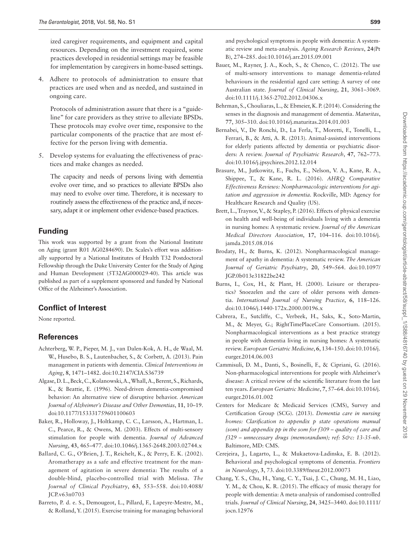ized caregiver requirements, and equipment and capital resources. Depending on the investment required, some practices developed in residential settings may be feasible for implementation by caregivers in home-based settings.

4. Adhere to protocols of administration to ensure that practices are used when and as needed, and sustained in ongoing care.

Protocols of administration assure that there is a "guideline" for care providers as they strive to alleviate BPSDs. These protocols may evolve over time, responsive to the particular components of the practice that are most effective for the person living with dementia.

5. Develop systems for evaluating the effectiveness of practices and make changes as needed.

The capacity and needs of persons living with dementia evolve over time, and so practices to alleviate BPSDs also may need to evolve over time. Therefore, it is necessary to routinely assess the effectiveness of the practice and, if necessary, adapt it or implement other evidence-based practices.

### **Funding**

This work was supported by a grant from the National Institute on Aging (grant R01 AG0284690). Dr. Scales's effort was additionally supported by a National Institutes of Health T32 Postdoctoral Fellowship through the Duke University Center for the Study of Aging and Human Development (5T32AG000029-40). This article was published as part of a supplement sponsored and funded by National Office of the Alzheimer's Association.

### **Conflict of Interest**

None reported.

### **References**

- <span id="page-11-16"></span>Achterberg, W. P., Pieper, M. J., van Dalen-Kok, A. H., de Waal, M. W., Husebo, B. S., Lautenbacher, S., & Corbett, A. (2013). Pain management in patients with dementia. *Clinical Interventions in Aging*, **8**, 1471–1482. doi:10.2147/CIA.S36739
- <span id="page-11-1"></span>Algase, D. L., Beck, C., Kolanowski, A., Whall, A., Berent, S., Richards, K., & Beattie, E. (1996). Need-driven dementia-compromised behavior: An alternative view of disruptive behavior. *American Journal of Alzheimer's Disease and Other Dementias*, **11**, 10–19. doi:10.1177/153331759601100603
- <span id="page-11-6"></span>Baker, R., Holloway, J., Holtkamp, C. C., Larsson, A., Hartman, L. C., Pearce, R., & Owens, M. (2003). Effects of multi-sensory stimulation for people with dementia. *Journal of Advanced Nursing*, **43**, 465–477. doi:10.1046/j.1365-2648.2003.02744.x
- <span id="page-11-4"></span>Ballard, C. G., O'Brien, J. T., Reichelt, K., & Perry, E. K. (2002). Aromatherapy as a safe and effective treatment for the management of agitation in severe dementia: The results of a double-blind, placebo-controlled trial with Melissa. *The Journal of Clinical Psychiatry*, **63**, 553–558. doi:10.4088/ JCP.v63n0703
- <span id="page-11-14"></span>Barreto, P. d. e. S., Demougeot, L., Pillard, F., Lapeyre-Mestre, M., & Rolland, Y. (2015). Exercise training for managing behavioral

and psychological symptoms in people with dementia: A systematic review and meta-analysis. *Ageing Research Reviews*, **24**(Pt B), 274–285. doi:10.1016/j.arr.2015.09.001

- <span id="page-11-7"></span>Bauer, M., Rayner, J. A., Koch, S., & Chenco, C. (2012). The use of multi-sensory interventions to manage dementia-related behaviours in the residential aged care setting: A survey of one Australian state. *Journal of Clinical Nursing*, **21**, 3061–3069. doi:10.1111/j.1365-2702.2012.04306.x
- <span id="page-11-3"></span>Behrman, S., Chouliaras, L., & Ebmeier, K. P. (2014). Considering the senses in the diagnosis and management of dementia. *Maturitas*, **77**, 305–310. doi:10.1016/j.maturitas.2014.01.003
- <span id="page-11-12"></span>Bernabei, V., De Ronchi, D., La Ferla, T., Moretti, F., Tonelli, L., Ferrari, B., & Atti, A. R. (2013). Animal-assisted interventions for elderly patients affected by dementia or psychiatric disorders: A review. *Journal of Psychiatric Research*, **47**, 762–773. doi:10.1016/j.jpsychires.2012.12.014
- <span id="page-11-8"></span>Brasure, M., Jutkowitz, E., Fuchs, E., Nelson, V. A., Kane, R. A., Shippee, T., & Kane, R. L. (2016). *AHRQ Comparative Effectiveness Reviews: Nonpharmacologic interventions for agitation and aggression in dementia*. Rockville, MD: Agency for Healthcare Research and Quality (US).
- <span id="page-11-15"></span>Brett, L., Traynor, V., & Stapley, P. (2016). Effects of physical exercise on health and well-being of individuals living with a dementia in nursing homes: A systematic review. *Journal of the American Medical Directors Association*, **17**, 104–116. doi:10.1016/j. jamda.2015.08.016
- <span id="page-11-13"></span>Brodaty, H., & Burns, K. (2012). Nonpharmacological management of apathy in dementia: A systematic review. *The American Journal of Geriatric Psychiatry*, **20**, 549–564. doi:10.1097/ JGP.0b013e31822be242
- <span id="page-11-5"></span>Burns, I., Cox, H., & Plant, H. (2000). Leisure or therapeutics? Snoezelen and the care of older persons with dementia. *International Journal of Nursing Practice*, **6**, 118–126. doi:10.1046/j.1440-172x.2000.00196.x
- <span id="page-11-9"></span>Cabrera, E., Sutcliffe, C., Verbeek, H., Saks, K., Soto-Martin, M., & Meyer, G.; RightTimePlaceCare Consortium. (2015). Nonpharmacological interventions as a best practice strategy in people with dementia living in nursing homes: A systematic review. *European Geriatric Medicine*, **6**, 134–150. doi:10.1016/j. eurger.2014.06.003
- <span id="page-11-10"></span>Cammisuli, D. M., Danti, S., Bosinelli, F., & Cipriani, G. (2016). Non-pharmacological interventions for people with Alzheimer's disease: A critical review of the scientific literature from the last ten years. *European Geriatric Medicine*, **7**, 57–64. doi:10.1016/j. eurger.2016.01.002
- <span id="page-11-2"></span>Centers for Medicare & Medicaid Services (CMS), Survey and Certification Group (SCG). (2013). *Dementia care in nursing homes: Clarification to appendix p state operations manual (som) and appendix pp in the som for f309 – quality of care and f329 – unnecessary drugs (memorandum); ref: S&c: 13-35-nh*. Baltimore, MD: CMS.
- <span id="page-11-0"></span>Cerejeira, J., Lagarto, L., & Mukaetova-Ladinska, E. B. (2012). Behavioral and psychological symptoms of dementia. *Frontiers in Neurology*, **3**, 73. doi:10.3389/fneur.2012.00073
- <span id="page-11-11"></span>Chang, Y. S., Chu, H., Yang, C. Y., Tsai, J. C., Chung, M. H., Liao, Y. M., & Chou, K. R. (2015). The efficacy of music therapy for people with dementia: A meta-analysis of randomised controlled trials. *Journal of Clinical Nursing*, **24**, 3425–3440. doi:10.1111/ jocn.12976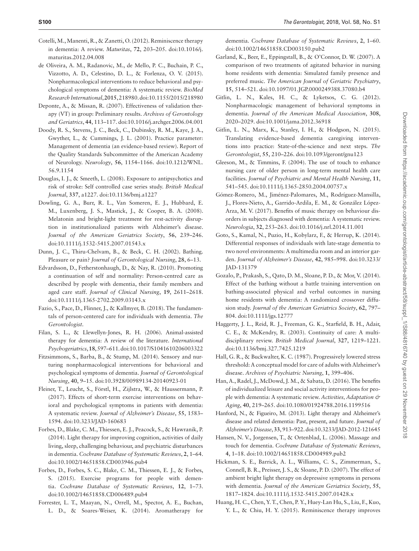- <span id="page-12-15"></span>Cotelli, M., Manenti, R., & Zanetti, O. (2012). Reminiscence therapy in dementia: A review. *Maturitas*, **72**, 203–205. doi:10.1016/j. maturitas.2012.04.008
- <span id="page-12-22"></span>de Oliveira, A. M., Radanovic, M., de Mello, P. C., Buchain, P. C., Vizzotto, A. D., Celestino, D. L., & Forlenza, O. V. (2015). Nonpharmacological interventions to reduce behavioral and psychological symptoms of dementia: A systematic review. *BioMed Research International*, **2015**, 218980. doi:10.1155/2015/218980
- <span id="page-12-14"></span>Deponte, A., & Missan, R. (2007). Effectiveness of validation therapy (VT) in group: Preliminary results. *Archives of Gerontology and Geriatrics*, **44**, 113–117. doi:10.1016/j.archger.2006.04.001
- <span id="page-12-18"></span>Doody, R. S., Stevens, J. C., Beck, C., Dubinsky, R. M., Kaye, J. A., Gwyther, L., & Cummings, J. L. (2001). Practice parameter: Management of dementia (an evidence-based review). Report of the Quality Standards Subcommittee of the American Academy of Neurology. *Neurology*, **56**, 1154–1166. doi:10.1212/WNL. 56.9.1154
- <span id="page-12-1"></span>Douglas, I. J., & Smeeth, L. (2008). Exposure to antipsychotics and risk of stroke: Self controlled case series study. *British Medical Journal*, **337**, a1227. doi:10.1136/bmj.a1227
- <span id="page-12-10"></span>Dowling, G. A., Burr, R. L., Van Someren, E. J., Hubbard, E. M., Luxenberg, J. S., Mastick, J., & Cooper, B. A. (2008). Melatonin and bright-light treatment for rest-activity disruption in institutionalized patients with Alzheimer's disease. *Journal of the American Geriatrics Society*, **56**, 239–246. doi:10.1111/j.1532-5415.2007.01543.x
- <span id="page-12-25"></span>Dunn, J. C., Thiru-Chelvam, B., & Beck, C. H. (2002). Bathing. Pleasure or pain? *Journal of Gerontological Nursing*, **28**, 6–13.
- <span id="page-12-28"></span>Edvardsson, D., Fetherstonhaugh, D., & Nay, R. (2010). Promoting a continuation of self and normality: Person-centred care as described by people with dementia, their family members and aged care staff. *Journal of Clinical Nursing*, **19**, 2611–2618. doi:10.1111/j.1365-2702.2009.03143.x
- <span id="page-12-13"></span>Fazio, S., Pace, D., Flinner, J., & Kallmyer, B. (2018). The fundamentals of person-centered care for individuals with dementia. *The Gerontologist*.
- <span id="page-12-20"></span>Filan, S. L., & Llewellyn-Jones, R. H. (2006). Animal-assisted therapy for dementia: A review of the literature. *International Psychogeriatrics*, **18**, 597–611. doi:10.1017/S1041610206003322
- <span id="page-12-4"></span>Fitzsimmons, S., Barba, B., & Stump, M. (2014). Sensory and nurturing nonpharmacological interventions for behavioral and psychological symptoms of dementia. *Journal of Gerontological Nursing*, **40**, 9–15. doi:10.3928/00989134-20140923-01
- <span id="page-12-23"></span>Fleiner, T., Leucht, S., Förstl, H., Zijlstra, W., & Haussermann, P. (2017). Effects of short-term exercise interventions on behavioral and psychological symptoms in patients with dementia: A systematic review. *Journal of Alzheimer's Disease*, **55**, 1583– 1594. doi:10.3233/JAD-160683
- <span id="page-12-9"></span>Forbes, D., Blake, C. M., Thiessen, E. J., Peacock, S., & Hawranik, P. (2014). Light therapy for improving cognition, activities of daily living, sleep, challenging behaviour, and psychiatric disturbances in dementia. *Cochrane Database of Systematic Reviews*, **2**, 1–64. doi:10.1002/14651858.CD003946.pub4
- <span id="page-12-24"></span>Forbes, D., Forbes, S. C., Blake, C. M., Thiessen, E. J., & Forbes, S. (2015). Exercise programs for people with dementia. *Cochrane Database of Systematic Reviews*, **12**, 1–73. doi:10.1002/14651858.CD006489.pub4
- <span id="page-12-5"></span>Forrester, L. T., Maayan, N., Orrell, M., Spector, A. E., Buchan, L. D., & Soares-Weiser, K. (2014). Aromatherapy for

dementia. *Cochrane Database of Systematic Reviews*, **2**, 1–60. doi:10.1002/14651858.CD003150.pub2

- <span id="page-12-19"></span>Garland, K., Beer, E., Eppingstall, B., & O'Connor, D. W. (2007). A comparison of two treatments of agitated behavior in nursing home residents with dementia: Simulated family presence and preferred music. *The American Journal of Geriatric Psychiatry*, **15**, 514–521. doi:10.1097/01.JGP.0000249388.37080.b4
- <span id="page-12-2"></span>Gitlin, L. N., Kales, H. C., & Lyketsos, C. G. (2012). Nonpharmacologic management of behavioral symptoms in dementia. *Journal of the American Medical Association*, **308**, 2020–2029. doi:10.1001/jama.2012.36918
- <span id="page-12-3"></span>Gitlin, L. N., Marx, K., Stanley, I. H., & Hodgson, N. (2015). Translating evidence-based dementia caregiving interventions into practice: State-of-the-science and next steps. *The Gerontologist*, **55**, 210–226. doi:10.1093/geront/gnu123
- <span id="page-12-6"></span>Gleeson, M., & Timmins, F. (2004). The use of touch to enhance nursing care of older person in long-term mental health care facilities. *Journal of Psychiatric and Mental Health Nursing*, **11**, 541–545. doi:10.1111/j.1365-2850.2004.00757.x
- <span id="page-12-17"></span>Gómez-Romero, M., Jiménez-Palomares, M., Rodríguez-Mansilla, J., Flores-Nieto, A., Garrido-Ardila, E. M., & González López-Arza, M. V. (2017). Benefits of music therapy on behaviour disorders in subjects diagnosed with dementia: A systematic review. *Neurologia*, **32**, 253–263. doi:10.1016/j.nrl.2014.11.001
- <span id="page-12-8"></span>Goto, S., Kamal, N., Puzio, H., Kobylarz, F., & Herrup, K. (2014). Differential responses of individuals with late-stage dementia to two novel environments: A multimedia room and an interior garden. *Journal of Alzheimer's Disease*, **42**, 985–998. doi:10.3233/ JAD-131379
- <span id="page-12-26"></span>Gozalo, P., Prakash, S., Qato, D. M., Sloane, P. D., & Mor, V. (2014). Effect of the bathing without a battle training intervention on bathing-associated physical and verbal outcomes in nursing home residents with dementia: A randomized crossover diffusion study. *Journal of the American Geriatrics Society*, **62**, 797– 804. doi:10.1111/jgs.12777
- <span id="page-12-27"></span>Haggerty, J. L., Reid, R. J., Freeman, G. K., Starfield, B. H., Adair, C. E., & McKendry, R. (2003). Continuity of care: A multidisciplinary review. *British Medical Journal*, **327**, 1219–1221. doi:10.1136/bmj.327.7425.1219
- <span id="page-12-0"></span>Hall, G. R., & Buckwalter, K. C. (1987). Progressively lowered stress threshold: A conceptual model for care of adults with Alzheimer's disease. *Archives of Psychiatric Nursing*, **1**, 399–406.
- <span id="page-12-21"></span>Han, A., Radel, J., McDowd, J. M., & Sabata, D. (2016). The benefits of individualized leisure and social activity interventions for people with dementia: A systematic review. *Activities, Adaptation & Aging*, **40**, 219–265. doi:10.1080/01924788.2016.1199516
- <span id="page-12-11"></span>Hanford, N., & Figueiro, M. (2013). Light therapy and Alzheimer's disease and related dementia: Past, present, and future. *Journal of Alzheimer's Disease*, **33**, 913–922. doi:10.3233/JAD-2012-121645
- <span id="page-12-7"></span>Hansen, N. V., Jorgensen, T., & Ortenblad, L. (2006). Massage and touch for dementia. *Cochrane Database of Systematic Reviews*, **4**, 1–18. doi:10.1002/14651858.CD004989.pub2
- <span id="page-12-12"></span>Hickman, S. E., Barrick, A. L., Williams, C. S., Zimmerman, S., Connell, B. R., Preisser, J. S., & Sloane, P. D. (2007). The effect of ambient bright light therapy on depressive symptoms in persons with dementia. *Journal of the American Geriatrics Society*, **55**, 1817–1824. doi:10.1111/j.1532-5415.2007.01428.x
- <span id="page-12-16"></span>Huang, H. C., Chen, Y. T., Chen, P. Y., Huey-Lan Hu, S., Liu, F., Kuo, Y. L., & Chiu, H. Y. (2015). Reminiscence therapy improves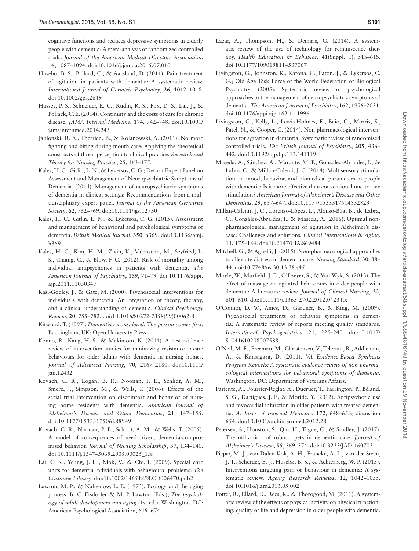cognitive functions and reduces depressive symptoms in elderly people with dementia: A meta-analysis of randomized controlled trials. *Journal of the American Medical Directors Association*, **16**, 1087–1094. doi:10.1016/j.jamda.2015.07.010

- <span id="page-13-19"></span>Husebo, B. S., Ballard, C., & Aarsland, D. (2011). Pain treatment of agitation in patients with dementia: A systematic review. *International Journal of Geriatric Psychiatry*, **26**, 1012–1018. doi:10.1002/gps.2649
- <span id="page-13-22"></span>Hussey, P. S., Schneider, E. C., Rudin, R. S., Fox, D. S., Lai, J., & Pollack, C. E. (2014). Continuity and the costs of care for chronic disease. *JAMA Internal Medicine*, **174**, 742–748. doi:10.1001/ jamainternmed.2014.245
- <span id="page-13-21"></span>Jablonski, R. A., Therrien, B., & Kolanowski, A. (2011). No more fighting and biting during mouth care: Applying the theoretical constructs of threat perception to clinical practice. *Research and Theory for Nursing Practice*, **25**, 163–175.
- <span id="page-13-23"></span>Kales, H. C., Gitlin, L. N., & Lyketsos, C. G.; Detroit Expert Panel on Assessment and Management of Neuropsychiatric Symptoms of Dementia. (2014). Management of neuropsychiatric symptoms of dementia in clinical settings: Recommendations from a multidisciplinary expert panel. *Journal of the American Geriatrics Society*, **62**, 762–769. doi:10.1111/jgs.12730
- <span id="page-13-0"></span>Kales, H. C., Gitlin, L. N., & Lyketsos, C. G. (2015). Assessment and management of behavioral and psychological symptoms of dementia. *British Medical Journal*, **350**, h369. doi:10.1136/bmj. h369
- Kales, H. C., Kim, H. M., Zivin, K., Valenstein, M., Seyfried, L. S., Chiang, C., & Blow, F. C. (2012). Risk of mortality among individual antipsychotics in patients with dementia. *The American Journal of Psychiatry*, **169**, 71–79. doi:10.1176/appi. ajp.2011.11030347
- <span id="page-13-14"></span>Kasl-Godley, J., & Gatz, M. (2000). Psychosocial interventions for individuals with dementia: An integration of theory, therapy, and a clinical understanding of dementia. *Clinical Psychology Review*, **20**, 755–782. doi:10.1016/S0272-7358(99)00062-8
- <span id="page-13-13"></span>Kitwood, T. (1997). *Dementia reconsidered: The person comes first*. Buckingham, UK: Open University Press.
- <span id="page-13-16"></span>Konno, R., Kang, H. S., & Makimoto, K. (2014). A best-evidence review of intervention studies for minimizing resistance-to-care behaviours for older adults with dementia in nursing homes. *Journal of Advanced Nursing*, **70**, 2167–2180. doi:10.1111/ jan.12432
- <span id="page-13-20"></span>Kovach, C. R., Logan, B. R., Noonan, P. E., Schlidt, A. M., Smerz, J., Simpson, M., & Wells, T. (2006). Effects of the serial trial intervention on discomfort and behavior of nursing home residents with dementia. *American Journal of Alzheimer's Disease and Other Dementias*, **21**, 147–155. doi:10.1177/1533317506288949
- <span id="page-13-2"></span>Kovach, C. R., Noonan, P. E., Schlidt, A. M., & Wells, T. (2005). A model of consequences of need-driven, dementia-compromised behavior. *Journal of Nursing Scholarship*, **37**, 134–140. doi:10.1111/j.1547–5069.2005.00025\_1.x
- <span id="page-13-4"></span>Lai, C. K., Yeung, J. H., Mok, V., & Chi, I. (2009). Special care units for dementia individuals with behavioural problems. *The Cochrane Library*. doi:10.1002/14651858.CD006470.pub2.
- <span id="page-13-1"></span>Lawton, M. P., & Nahemow, L. E. (1973). Ecology and the aging process. In C. Eisdorfer & M. P. Lawton (Eds.), *The psychology of adult development and aging* (1st ed.). Washington, DC: American Psychological Association, 619–674.
- <span id="page-13-15"></span>Lazar, A., Thompson, H., & Demiris, G. (2014). A systematic review of the use of technology for reminiscence therapy. *Health Education & Behavior*, **41**(Suppl. 1), 51S–61S. doi:10.1177/1090198114537067
- <span id="page-13-11"></span>Livingston, G., Johnston, K., Katona, C., Paton, J., & Lyketsos, C. G.; Old Age Task Force of the World Federation of Biological Psychiatry. (2005). Systematic review of psychological approaches to the management of neuropsychiatric symptoms of dementia. *The American Journal of Psychiatry*, **162**, 1996–2021. doi:10.1176/appi.ajp.162.11.1996
- <span id="page-13-5"></span>Livingston, G., Kelly, L., Lewis-Holmes, E., Baio, G., Morris, S., Patel, N., & Cooper, C. (2014). Non-pharmacological interventions for agitation in dementia: Systematic review of randomised controlled trials. *The British Journal of Psychiatry*, **205**, 436– 442. doi:10.1192/bjp.bp.113.141119
- <span id="page-13-10"></span>Maseda, A., Sánchez, A., Marante, M. P., González-Abraldes, I., de Labra, C., & Millán-Calenti, J. C. (2014). Multisensory stimulation on mood, behavior, and biomedical parameters in people with dementia: Is it more effective than conventional one-to-one stimulation? *American Journal of Alzheimer's Disease and Other Dementias*, **29**, 637–647. doi:10.1177/1533317514532823
- <span id="page-13-9"></span>Millán-Calenti, J. C., Lorenzo-López, L., Alonso-Búa, B., de Labra, C., González-Abraldes, I., & Maseda, A. (2016). Optimal nonpharmacological management of agitation in Alzheimer's disease: Challenges and solutions. *Clinical Interventions in Aging*, **11**, 175–184. doi:10.2147/CIA.S69484
- <span id="page-13-12"></span>Mitchell, G., & Agnelli, J. (2015). Non-pharmacological approaches to alleviate distress in dementia care. *Nursing Standard*, **30**, 38– 44. doi:10.7748/ns.30.13.38.s45
- <span id="page-13-6"></span>Moyle, W., Murfield, J. E., O'Dwyer, S., & Van Wyk, S. (2013). The effect of massage on agitated behaviours in older people with dementia: A literature review. *Journal of Clinical Nursing*, **22**, 601–610. doi:10.1111/j.1365-2702.2012.04234.x
- <span id="page-13-8"></span>O'Connor, D. W., Ames, D., Gardner, B., & King, M. (2009). Psychosocial treatments of behavior symptoms in dementia: A systematic review of reports meeting quality standards. *International Psychogeriatrics*, **21**, 225–240. doi:10.1017/ S1041610208007588
- <span id="page-13-7"></span>O'Neil, M. E., Freeman, M., Christensen, V., Telerant, R., Addleman, A., & Kansagara, D. (2011). *VA Evidence-Based Synthesis Program Reports: A systematic evidence review of non-pharmacological interventions for behavioral symptoms of dementia*. Washington, DC: Department of Veterans Affairs.
- <span id="page-13-3"></span>Pariente, A., Fourrier-Réglat, A., Ducruet, T., Farrington, P., Béland, S. G., Dartigues, J. F., & Moride, Y. (2012). Antipsychotic use and myocardial infarction in older patients with treated dementia. *Archives of Internal Medicine*, **172**, 648–653; discussion 654. doi:10.1001/archinternmed.2012.28
- <span id="page-13-17"></span>Petersen, S., Houston, S., Qin, H., Tague, C., & Studley, J. (2017). The utilization of robotic pets in dementia care. *Journal of Alzheimer's Disease*, **55**, 569–574. doi:10.3233/JAD-160703
- Pieper, M. J., van Dalen-Kok, A. H., Francke, A. L., van der Steen, J. T., Scherder, E. J., Husebø, B. S., & Achterberg, W. P. (2013). Interventions targeting pain or behaviour in dementia: A systematic review. *Ageing Research Reviews*, **12**, 1042–1055. doi:10.1016/j.arr.2013.05.002
- <span id="page-13-18"></span>Potter, R., Ellard, D., Rees, K., & Thorogood, M. (2011). A systematic review of the effects of physical activity on physical functioning, quality of life and depression in older people with dementia.